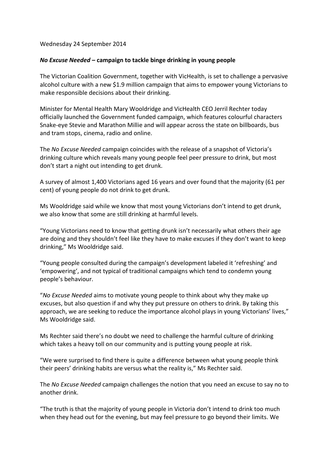## Wednesday 24 September 2014

## *No Excuse Needed* **– campaign to tackle binge drinking in young people**

The Victorian Coalition Government, together with VicHealth, is set to challenge a pervasive alcohol culture with a new \$1.9 million campaign that aims to empower young Victorians to make responsible decisions about their drinking.

Minister for Mental Health Mary Wooldridge and VicHealth CEO Jerril Rechter today officially launched the Government funded campaign, which features colourful characters Snake-eye Stevie and Marathon Millie and will appear across the state on billboards, bus and tram stops, cinema, radio and online.

The *No Excuse Needed* campaign coincides with the release of a snapshot of Victoria's drinking culture which reveals many young people feel peer pressure to drink, but most don't start a night out intending to get drunk.

A survey of almost 1,400 Victorians aged 16 years and over found that the majority (61 per cent) of young people do not drink to get drunk.

Ms Wooldridge said while we know that most young Victorians don't intend to get drunk, we also know that some are still drinking at harmful levels.

"Young Victorians need to know that getting drunk isn't necessarily what others their age are doing and they shouldn't feel like they have to make excuses if they don't want to keep drinking," Ms Wooldridge said.

"Young people consulted during the campaign's development labeled it 'refreshing' and 'empowering', and not typical of traditional campaigns which tend to condemn young people's behaviour.

"*No Excuse Needed* aims to motivate young people to think about why they make up excuses, but also question if and why they put pressure on others to drink. By taking this approach, we are seeking to reduce the importance alcohol plays in young Victorians' lives," Ms Wooldridge said.

Ms Rechter said there's no doubt we need to challenge the harmful culture of drinking which takes a heavy toll on our community and is putting young people at risk.

"We were surprised to find there is quite a difference between what young people think their peers' drinking habits are versus what the reality is," Ms Rechter said.

The *No Excuse Needed* campaign challenges the notion that you need an excuse to say no to another drink.

"The truth is that the majority of young people in Victoria don't intend to drink too much when they head out for the evening, but may feel pressure to go beyond their limits. We